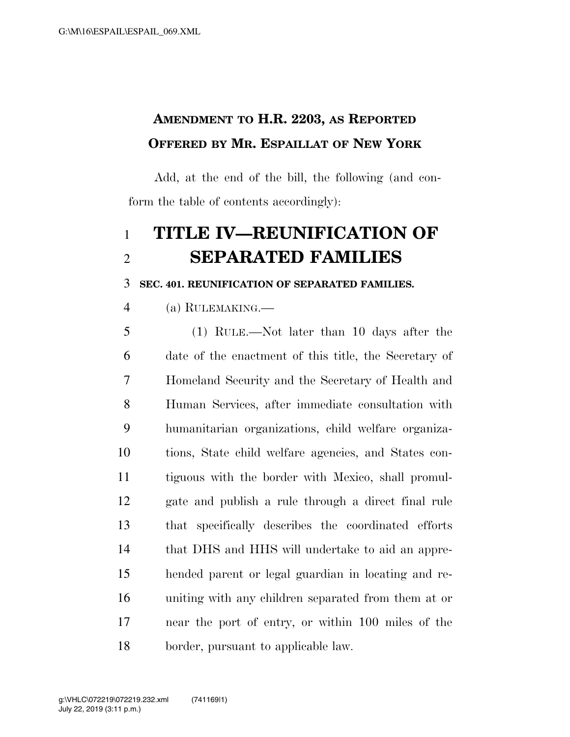## **AMENDMENT TO H.R. 2203, AS REPORTED OFFERED BY MR. ESPAILLAT OF NEW YORK**

Add, at the end of the bill, the following (and conform the table of contents accordingly):

# **TITLE IV—REUNIFICATION OF SEPARATED FAMILIES**

**SEC. 401. REUNIFICATION OF SEPARATED FAMILIES.** 

(a) RULEMAKING.—

 (1) RULE.—Not later than 10 days after the date of the enactment of this title, the Secretary of Homeland Security and the Secretary of Health and Human Services, after immediate consultation with humanitarian organizations, child welfare organiza- tions, State child welfare agencies, and States con- tiguous with the border with Mexico, shall promul- gate and publish a rule through a direct final rule that specifically describes the coordinated efforts that DHS and HHS will undertake to aid an appre- hended parent or legal guardian in locating and re- uniting with any children separated from them at or near the port of entry, or within 100 miles of the border, pursuant to applicable law.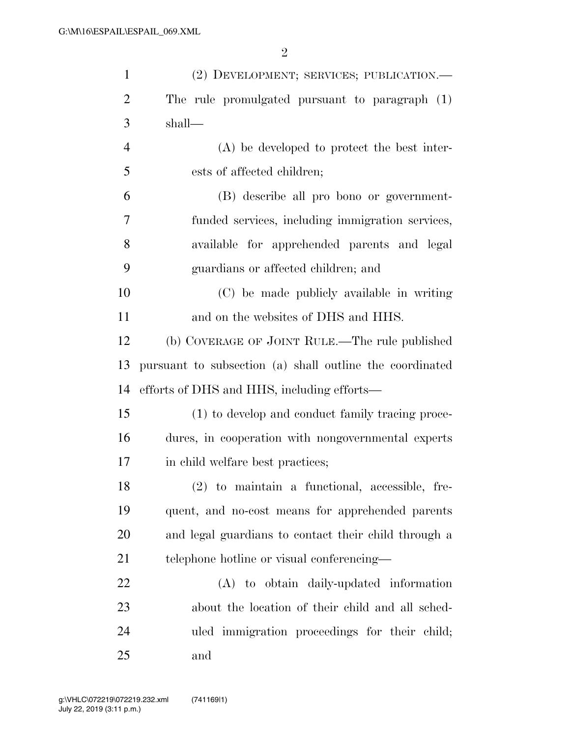| $\mathbf{1}$   | (2) DEVELOPMENT; SERVICES; PUBLICATION.—                 |
|----------------|----------------------------------------------------------|
| $\overline{2}$ | The rule promulgated pursuant to paragraph (1)           |
| 3              | shall—                                                   |
| $\overline{4}$ | (A) be developed to protect the best inter-              |
| 5              | ests of affected children;                               |
| 6              | (B) describe all pro bono or government-                 |
| 7              | funded services, including immigration services,         |
| 8              | available for apprehended parents and legal              |
| 9              | guardians or affected children; and                      |
| 10             | (C) be made publicly available in writing                |
| 11             | and on the websites of DHS and HHS.                      |
| 12             | (b) COVERAGE OF JOINT RULE.—The rule published           |
| 13             | pursuant to subsection (a) shall outline the coordinated |
| 14             | efforts of DHS and HHS, including efforts—               |
| 15             | (1) to develop and conduct family tracing proce-         |
| 16             | dures, in cooperation with nongovernmental experts       |
| 17             | in child welfare best practices;                         |
| 18             | (2) to maintain a functional, accessible, fre-           |
| 19             | quent, and no-cost means for apprehended parents         |
| 20             | and legal guardians to contact their child through a     |
| 21             | telephone hotline or visual conferencing—                |
| 22             | (A) to obtain daily-updated information                  |
| 23             | about the location of their child and all sched-         |
| 24             | uled immigration proceedings for their child;            |
| 25             | and                                                      |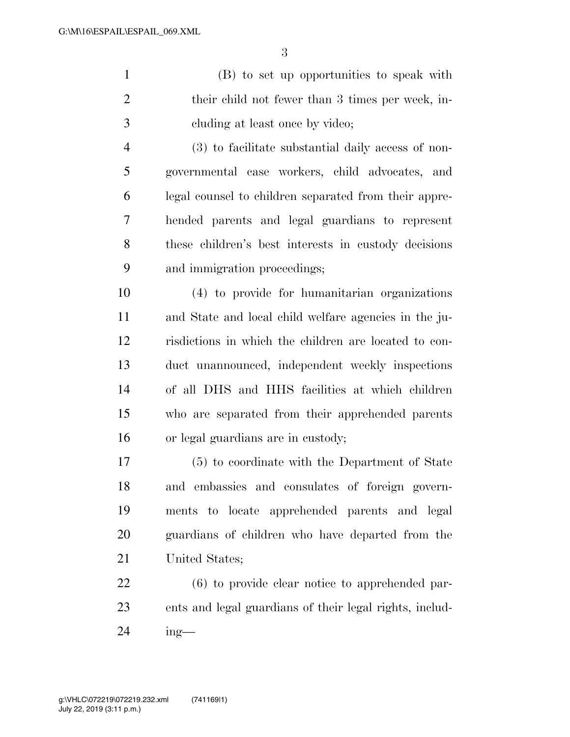(B) to set up opportunities to speak with their child not fewer than 3 times per week, in-cluding at least once by video;

 (3) to facilitate substantial daily access of non- governmental case workers, child advocates, and legal counsel to children separated from their appre- hended parents and legal guardians to represent these children's best interests in custody decisions and immigration proceedings;

 (4) to provide for humanitarian organizations and State and local child welfare agencies in the ju- risdictions in which the children are located to con- duct unannounced, independent weekly inspections of all DHS and HHS facilities at which children who are separated from their apprehended parents or legal guardians are in custody;

 (5) to coordinate with the Department of State and embassies and consulates of foreign govern- ments to locate apprehended parents and legal guardians of children who have departed from the United States;

 (6) to provide clear notice to apprehended par- ents and legal guardians of their legal rights, includ-ing—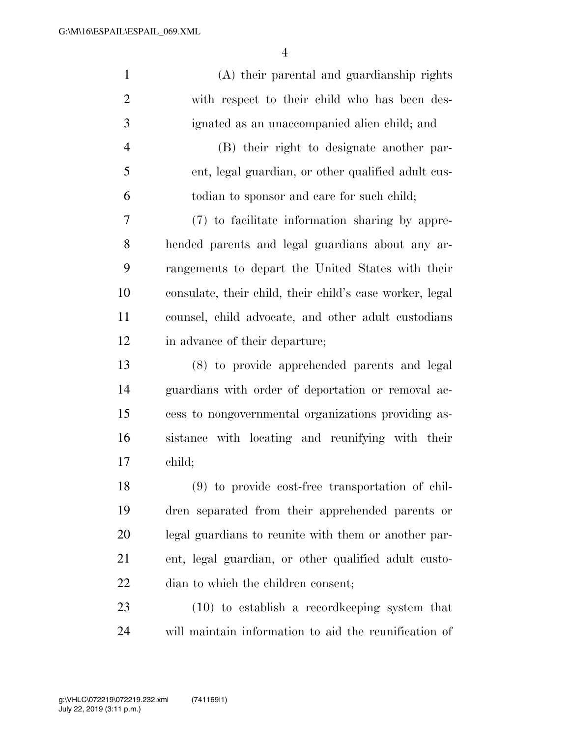| $\mathbf{1}$   | (A) their parental and guardianship rights               |
|----------------|----------------------------------------------------------|
| $\overline{2}$ | with respect to their child who has been des-            |
| 3              | ignated as an unaccompanied alien child; and             |
| $\overline{4}$ | (B) their right to designate another par-                |
| 5              | ent, legal guardian, or other qualified adult cus-       |
| 6              | todian to sponsor and care for such child;               |
| 7              | (7) to facilitate information sharing by appre-          |
| 8              | hended parents and legal guardians about any ar-         |
| 9              | rangements to depart the United States with their        |
| 10             | consulate, their child, their child's case worker, legal |
| 11             | counsel, child advocate, and other adult custodians      |
| 12             | in advance of their departure;                           |
| 13             | (8) to provide apprehended parents and legal             |
| 14             | guardians with order of deportation or removal ac-       |
| 15             | cess to nongovernmental organizations providing as-      |
| 16             | sistance with locating and reunifying with their         |
| 17             | child;                                                   |
| 18             | $(9)$ to provide cost-free transportation of chil-       |
| 19             | dren separated from their apprehended parents or         |
| <b>20</b>      | legal guardians to reunite with them or another par-     |
| 21             | ent, legal guardian, or other qualified adult custo-     |
| 22             | dian to which the children consent;                      |
| 23             | $(10)$ to establish a record keeping system that         |
| 24             | will maintain information to aid the reunification of    |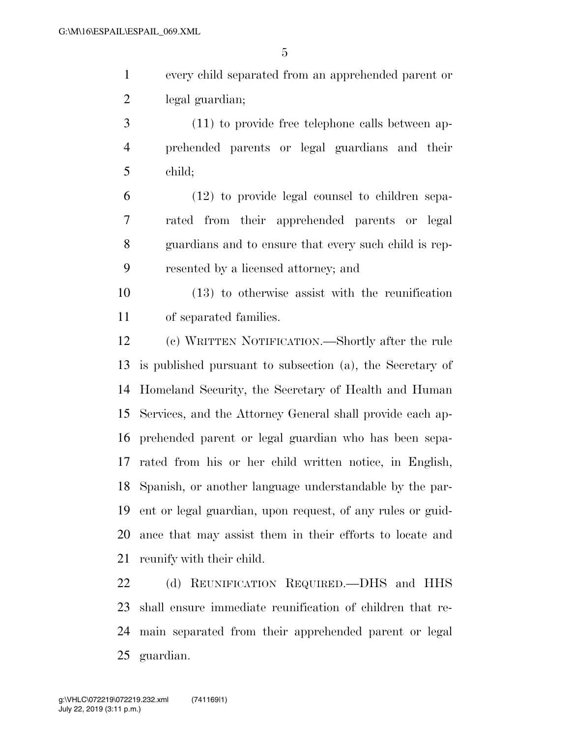| every child separated from an apprehended parent or |
|-----------------------------------------------------|
| legal guardian;                                     |

 (11) to provide free telephone calls between ap- prehended parents or legal guardians and their child;

 (12) to provide legal counsel to children sepa- rated from their apprehended parents or legal guardians and to ensure that every such child is rep-resented by a licensed attorney; and

 (13) to otherwise assist with the reunification of separated families.

 (c) WRITTEN NOTIFICATION.—Shortly after the rule is published pursuant to subsection (a), the Secretary of Homeland Security, the Secretary of Health and Human Services, and the Attorney General shall provide each ap- prehended parent or legal guardian who has been sepa- rated from his or her child written notice, in English, Spanish, or another language understandable by the par- ent or legal guardian, upon request, of any rules or guid- ance that may assist them in their efforts to locate and reunify with their child.

22 (d) REUNIFICATION REQUIRED. DHS and HHS shall ensure immediate reunification of children that re- main separated from their apprehended parent or legal guardian.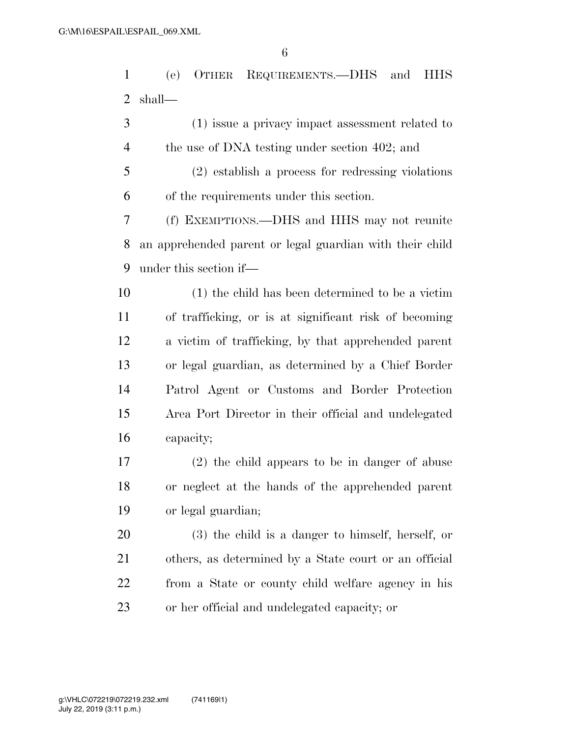(e) OTHER REQUIREMENTS.—DHS and HHS shall—

 (1) issue a privacy impact assessment related to 4 the use of DNA testing under section 402; and

 (2) establish a process for redressing violations of the requirements under this section.

 (f) EXEMPTIONS.—DHS and HHS may not reunite an apprehended parent or legal guardian with their child under this section if—

 (1) the child has been determined to be a victim of trafficking, or is at significant risk of becoming a victim of trafficking, by that apprehended parent or legal guardian, as determined by a Chief Border Patrol Agent or Customs and Border Protection Area Port Director in their official and undelegated capacity;

 (2) the child appears to be in danger of abuse or neglect at the hands of the apprehended parent or legal guardian;

 (3) the child is a danger to himself, herself, or others, as determined by a State court or an official from a State or county child welfare agency in his or her official and undelegated capacity; or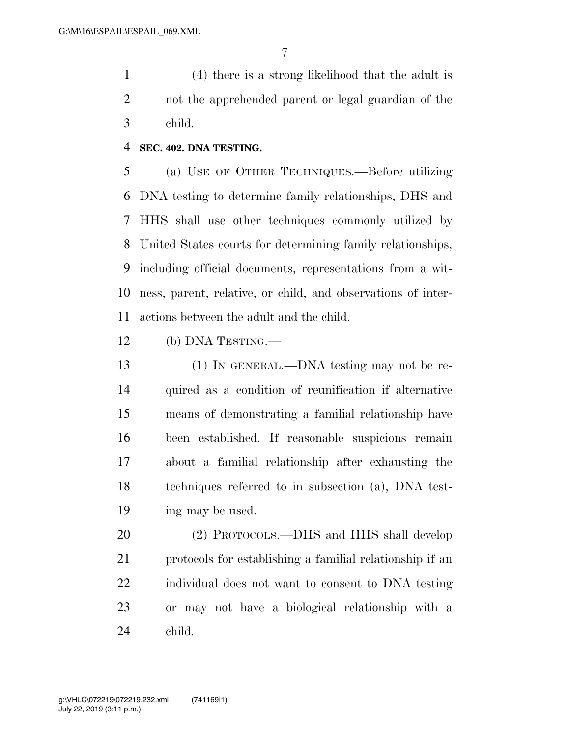(4) there is a strong likelihood that the adult is not the apprehended parent or legal guardian of the child.

### **SEC. 402. DNA TESTING.**

 (a) USE OF OTHER TECHNIQUES.—Before utilizing DNA testing to determine family relationships, DHS and HHS shall use other techniques commonly utilized by United States courts for determining family relationships, including official documents, representations from a wit- ness, parent, relative, or child, and observations of inter-actions between the adult and the child.

(b) DNA TESTING.—

 (1) IN GENERAL.—DNA testing may not be re- quired as a condition of reunification if alternative means of demonstrating a familial relationship have been established. If reasonable suspicions remain about a familial relationship after exhausting the techniques referred to in subsection (a), DNA test-ing may be used.

 (2) PROTOCOLS.—DHS and HHS shall develop protocols for establishing a familial relationship if an individual does not want to consent to DNA testing or may not have a biological relationship with a child.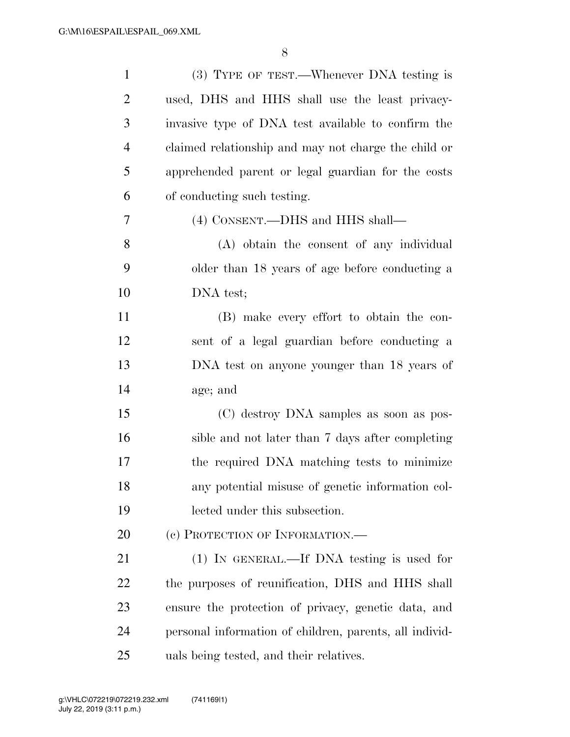| $\mathbf{1}$   | (3) TYPE OF TEST.—Whenever DNA testing is               |
|----------------|---------------------------------------------------------|
| $\overline{2}$ | used, DHS and HHS shall use the least privacy-          |
| 3              | invasive type of DNA test available to confirm the      |
| $\overline{4}$ | claimed relationship and may not charge the child or    |
| 5              | apprehended parent or legal guardian for the costs      |
| 6              | of conducting such testing.                             |
| 7              | (4) CONSENT.—DHS and HHS shall—                         |
| 8              | (A) obtain the consent of any individual                |
| 9              | older than 18 years of age before conducting a          |
| 10             | DNA test;                                               |
| 11             | (B) make every effort to obtain the con-                |
| 12             | sent of a legal guardian before conducting a            |
| 13             | DNA test on anyone younger than 18 years of             |
| 14             | age; and                                                |
| 15             | (C) destroy DNA samples as soon as pos-                 |
| 16             | sible and not later than 7 days after completing        |
| 17             | the required DNA matching tests to minimize             |
| 18             | any potential misuse of genetic information col-        |
| 19             | lected under this subsection.                           |
| 20             | (c) PROTECTION OF INFORMATION.—                         |
| 21             | (1) IN GENERAL.—If DNA testing is used for              |
| 22             | the purposes of reunification, DHS and HHS shall        |
| 23             | ensure the protection of privacy, genetic data, and     |
| 24             | personal information of children, parents, all individ- |
| 25             | uals being tested, and their relatives.                 |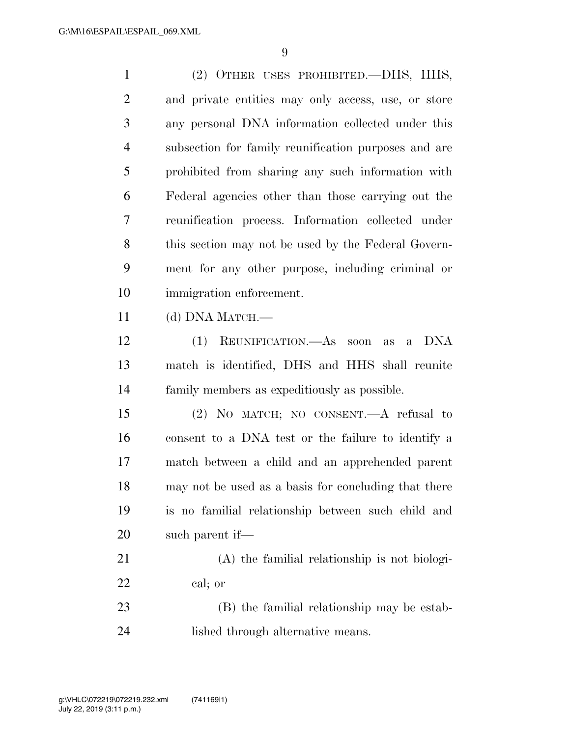(2) OTHER USES PROHIBITED.—DHS, HHS, and private entities may only access, use, or store any personal DNA information collected under this subsection for family reunification purposes and are prohibited from sharing any such information with Federal agencies other than those carrying out the reunification process. Information collected under this section may not be used by the Federal Govern- ment for any other purpose, including criminal or immigration enforcement. (d) DNA MATCH.— (1) REUNIFICATION.—As soon as a DNA match is identified, DHS and HHS shall reunite family members as expeditiously as possible. (2) NO MATCH; NO CONSENT.—A refusal to consent to a DNA test or the failure to identify a match between a child and an apprehended parent may not be used as a basis for concluding that there is no familial relationship between such child and such parent if— (A) the familial relationship is not biologi-

cal; or

 (B) the familial relationship may be estab-lished through alternative means.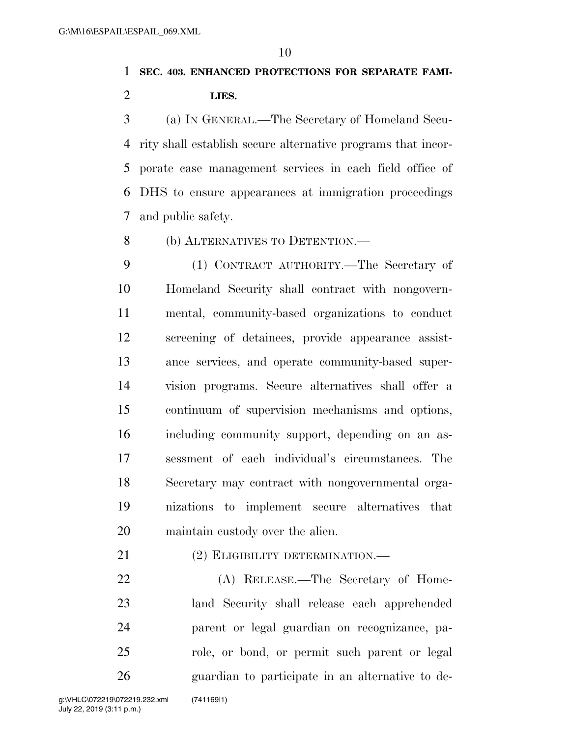**SEC. 403. ENHANCED PROTECTIONS FOR SEPARATE FAMI-LIES.** 

 (a) IN GENERAL.—The Secretary of Homeland Secu- rity shall establish secure alternative programs that incor- porate case management services in each field office of DHS to ensure appearances at immigration proceedings and public safety.

(b) ALTERNATIVES TO DETENTION.—

 (1) CONTRACT AUTHORITY.—The Secretary of Homeland Security shall contract with nongovern- mental, community-based organizations to conduct screening of detainees, provide appearance assist- ance services, and operate community-based super- vision programs. Secure alternatives shall offer a continuum of supervision mechanisms and options, including community support, depending on an as- sessment of each individual's circumstances. The Secretary may contract with nongovernmental orga- nizations to implement secure alternatives that maintain custody over the alien.

21 (2) ELIGIBILITY DETERMINATION.—

 (A) RELEASE.—The Secretary of Home- land Security shall release each apprehended parent or legal guardian on recognizance, pa- role, or bond, or permit such parent or legal guardian to participate in an alternative to de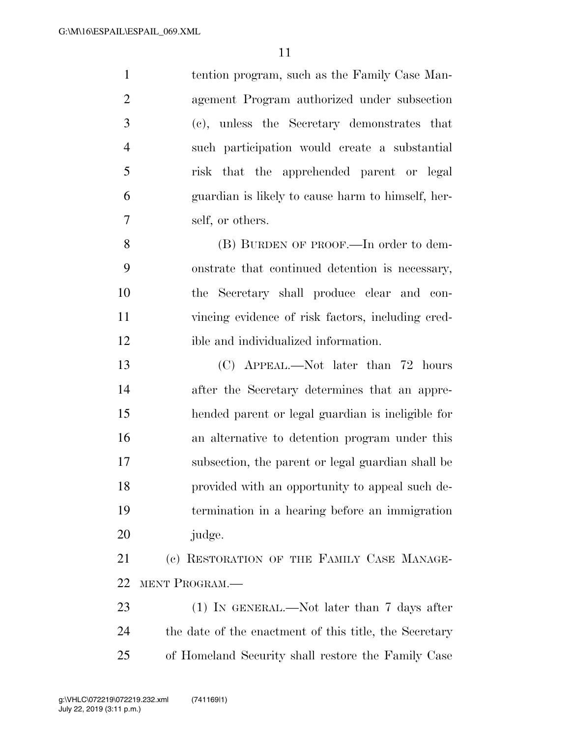tention program, such as the Family Case Man- agement Program authorized under subsection (c), unless the Secretary demonstrates that such participation would create a substantial risk that the apprehended parent or legal guardian is likely to cause harm to himself, her-self, or others.

8 (B) BURDEN OF PROOF.—In order to dem- onstrate that continued detention is necessary, the Secretary shall produce clear and con- vincing evidence of risk factors, including cred-ible and individualized information.

 (C) APPEAL.—Not later than 72 hours after the Secretary determines that an appre- hended parent or legal guardian is ineligible for an alternative to detention program under this subsection, the parent or legal guardian shall be provided with an opportunity to appeal such de- termination in a hearing before an immigration judge.

 (c) RESTORATION OF THE FAMILY CASE MANAGE-MENT PROGRAM.—

23 (1) IN GENERAL.—Not later than 7 days after the date of the enactment of this title, the Secretary of Homeland Security shall restore the Family Case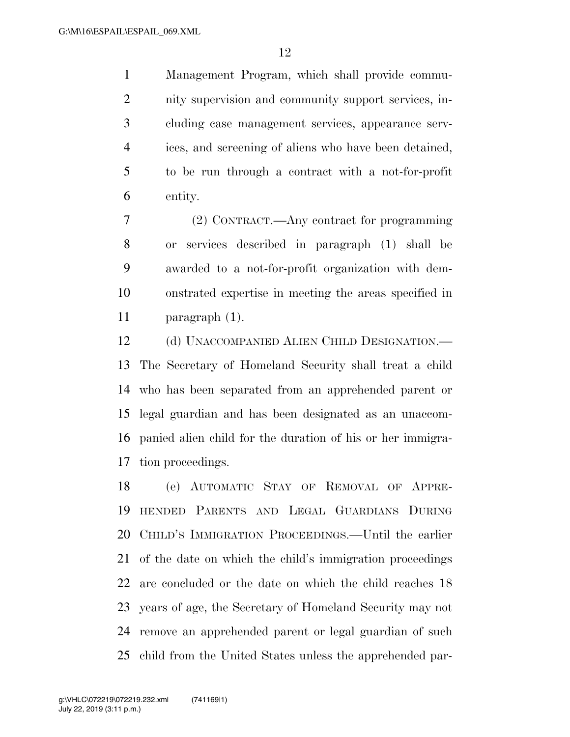Management Program, which shall provide commu- nity supervision and community support services, in- cluding case management services, appearance serv- ices, and screening of aliens who have been detained, to be run through a contract with a not-for-profit entity.

 (2) CONTRACT.—Any contract for programming or services described in paragraph (1) shall be awarded to a not-for-profit organization with dem- onstrated expertise in meeting the areas specified in paragraph (1).

12 (d) UNACCOMPANIED ALIEN CHILD DESIGNATION.— The Secretary of Homeland Security shall treat a child who has been separated from an apprehended parent or legal guardian and has been designated as an unaccom- panied alien child for the duration of his or her immigra-tion proceedings.

 (e) AUTOMATIC STAY OF REMOVAL OF APPRE- HENDED PARENTS AND LEGAL GUARDIANS DURING CHILD'S IMMIGRATION PROCEEDINGS.—Until the earlier of the date on which the child's immigration proceedings are concluded or the date on which the child reaches 18 years of age, the Secretary of Homeland Security may not remove an apprehended parent or legal guardian of such child from the United States unless the apprehended par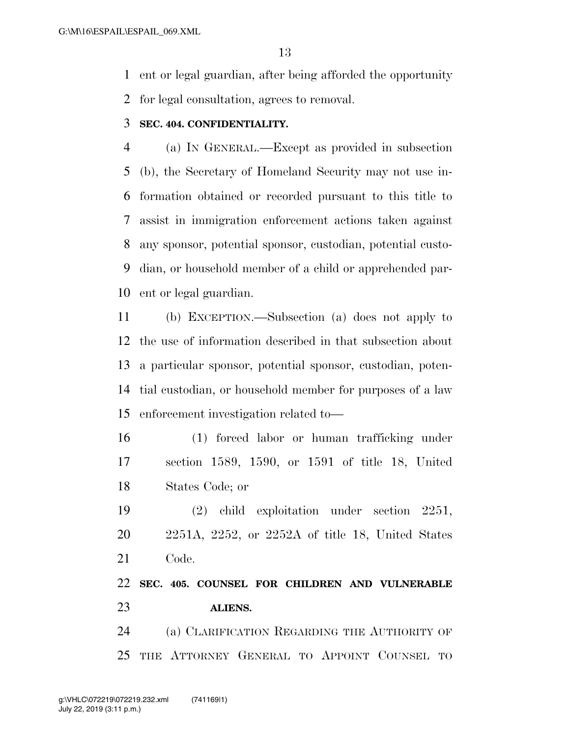ent or legal guardian, after being afforded the opportunity

for legal consultation, agrees to removal.

### **SEC. 404. CONFIDENTIALITY.**

 (a) IN GENERAL.—Except as provided in subsection (b), the Secretary of Homeland Security may not use in- formation obtained or recorded pursuant to this title to assist in immigration enforcement actions taken against any sponsor, potential sponsor, custodian, potential custo- dian, or household member of a child or apprehended par-ent or legal guardian.

 (b) EXCEPTION.—Subsection (a) does not apply to the use of information described in that subsection about a particular sponsor, potential sponsor, custodian, poten- tial custodian, or household member for purposes of a law enforcement investigation related to—

 (1) forced labor or human trafficking under section 1589, 1590, or 1591 of title 18, United States Code; or

 (2) child exploitation under section 2251, 2251A, 2252, or 2252A of title 18, United States Code.

 **SEC. 405. COUNSEL FOR CHILDREN AND VULNERABLE ALIENS.** 

 (a) CLARIFICATION REGARDING THE AUTHORITY OF THE ATTORNEY GENERAL TO APPOINT COUNSEL TO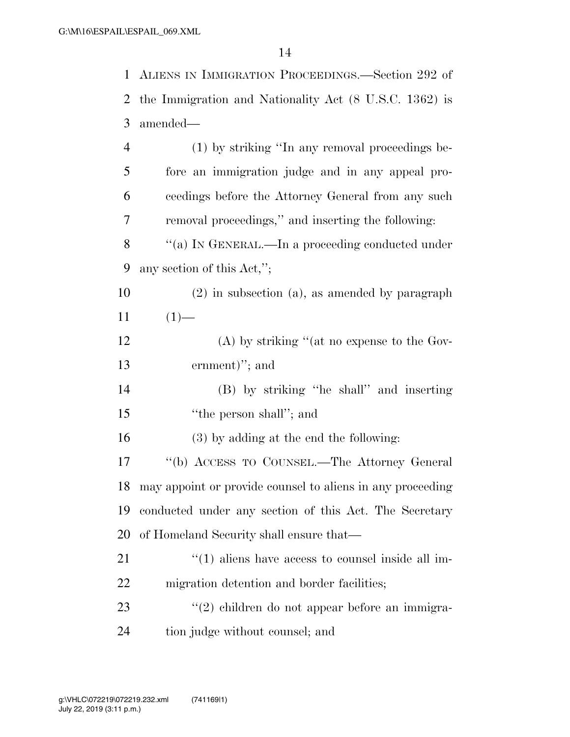| 1              | ALIENS IN IMMIGRATION PROCEEDINGS.—Section 292 of                 |
|----------------|-------------------------------------------------------------------|
| 2              | the Immigration and Nationality Act (8 U.S.C. 1362) is            |
| 3              | amended—                                                          |
| $\overline{4}$ | (1) by striking "In any removal proceedings be-                   |
| 5              | fore an immigration judge and in any appeal pro-                  |
| 6              | ceedings before the Attorney General from any such                |
| 7              | removal proceedings," and inserting the following:                |
| 8              | "(a) IN GENERAL.—In a proceeding conducted under                  |
| 9              | any section of this $Act,";$                                      |
| 10             | $(2)$ in subsection $(a)$ , as amended by paragraph               |
| 11             | $(1)$ —                                                           |
| 12             | (A) by striking "(at no expense to the Gov-                       |
| 13             | ernment)"; and                                                    |
| 14             | (B) by striking "he shall" and inserting                          |
| 15             | "the person shall"; and                                           |
| 16             | (3) by adding at the end the following:                           |
| 17             | "(b) ACCESS TO COUNSEL.—The Attorney General                      |
|                | 18 may appoint or provide counsel to aliens in any proceeding     |
| 19             | conducted under any section of this Act. The Secretary            |
| 20             | of Homeland Security shall ensure that—                           |
| 21             | $\cdot\cdot\cdot(1)$ aliens have access to counsel inside all im- |
| 22             | migration detention and border facilities;                        |
| 23             | "(2) children do not appear before an immigra-                    |
| 24             | tion judge without counsel; and                                   |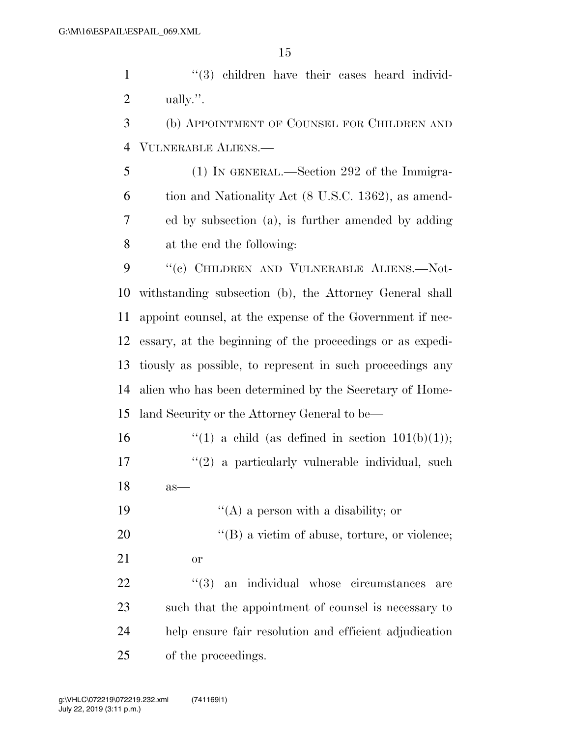1 ''(3) children have their cases heard individ-ually.''.

 (b) APPOINTMENT OF COUNSEL FOR CHILDREN AND VULNERABLE ALIENS.—

 (1) IN GENERAL.—Section 292 of the Immigra- tion and Nationality Act (8 U.S.C. 1362), as amend- ed by subsection (a), is further amended by adding at the end the following:

9 "(c) CHILDREN AND VULNERABLE ALIENS.—Not- withstanding subsection (b), the Attorney General shall appoint counsel, at the expense of the Government if nec- essary, at the beginning of the proceedings or as expedi- tiously as possible, to represent in such proceedings any alien who has been determined by the Secretary of Home-land Security or the Attorney General to be—

16  $\qquad$  ''(1) a child (as defined in section 101(b)(1)); 17 ''(2) a particularly vulnerable individual, such as—

19 ''(A) a person with a disability; or

20  $\text{``(B) a victim of abuse, torture, or violence;}$ or

  $(3)$  an individual whose circumstances are such that the appointment of counsel is necessary to help ensure fair resolution and efficient adjudication of the proceedings.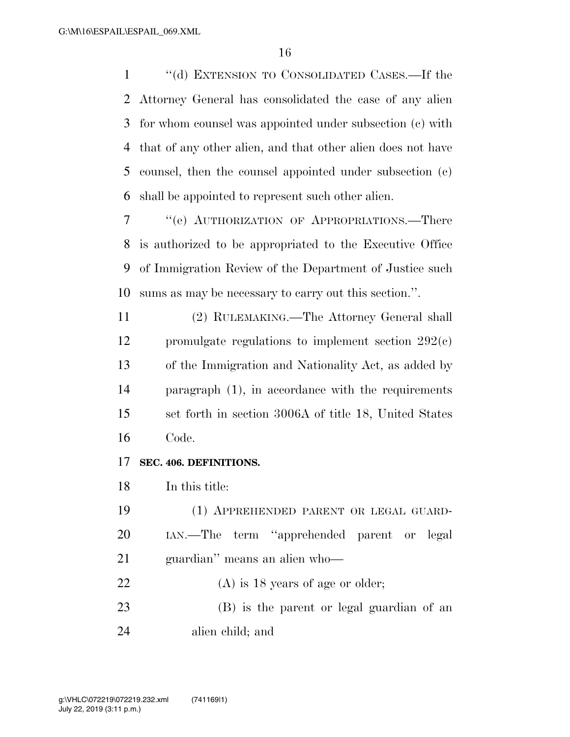''(d) EXTENSION TO CONSOLIDATED CASES.—If the Attorney General has consolidated the case of any alien for whom counsel was appointed under subsection (c) with that of any other alien, and that other alien does not have counsel, then the counsel appointed under subsection (c) shall be appointed to represent such other alien.

 ''(e) AUTHORIZATION OF APPROPRIATIONS.—There is authorized to be appropriated to the Executive Office of Immigration Review of the Department of Justice such sums as may be necessary to carry out this section.''.

 (2) RULEMAKING.—The Attorney General shall promulgate regulations to implement section 292(c) of the Immigration and Nationality Act, as added by paragraph (1), in accordance with the requirements set forth in section 3006A of title 18, United States Code.

#### **SEC. 406. DEFINITIONS.**

In this title:

 (1) APPREHENDED PARENT OR LEGAL GUARD- IAN.—The term ''apprehended parent or legal guardian'' means an alien who—

22 (A) is 18 years of age or older; (B) is the parent or legal guardian of an

alien child; and